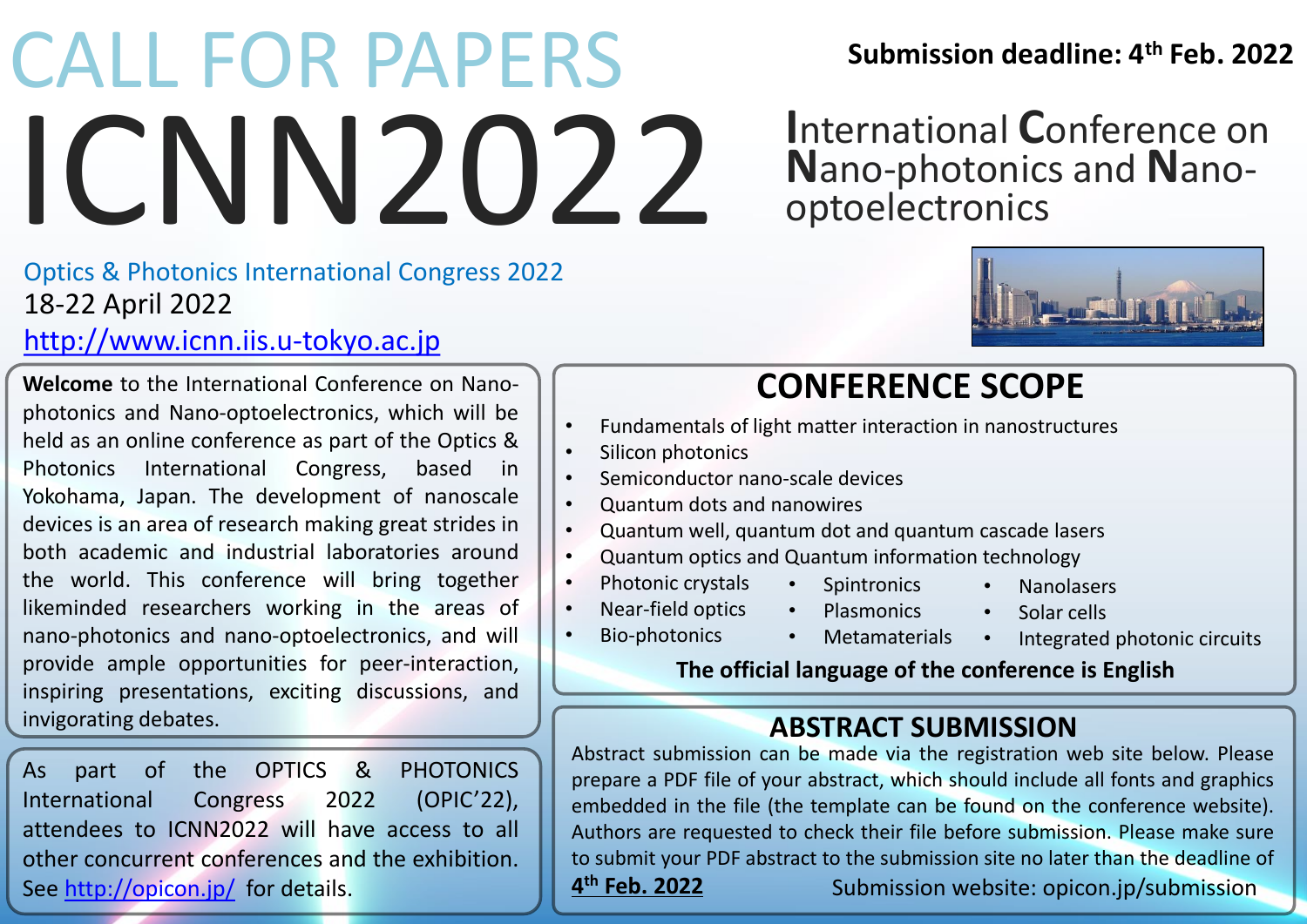# ICNN2022 **Submission deadline: 4th** CALL FOR PAPERS **Feb. 2022**

# 18-22 April 2022 Optics & Photonics International Congress 2022

# [http://www.icnn.iis.u-tokyo.ac.jp](http://www.icnn.iis.u-tokyo.ac.jp/)

**Welcome** to the International Conference on Nanophotonics and Nano-optoelectronics, which will be held as an online conference as part of the Optics & Photonics International Congress, based in Yokohama, Japan. The development of nanoscale devices is an area of research making great strides in both academic and industrial laboratories around the world. This conference will bring together likeminded researchers working in the areas of nano-photonics and nano-optoelectronics, and will provide ample opportunities for peer-interaction, inspiring presentations, exciting discussions, and invigorating debates.

As part of the OPTICS & PHOTONICS International Congress 2022 (OPIC'22), attendees to ICNN2022 will have access to all other concurrent conferences and the exhibition. See <http://opicon.jp/> for details.

**I**nternational **C**onference on **N**ano-photonics and **N**anooptoelectronics



# **CONFERENCE SCOPE**

- Fundamentals of light matter interaction in nanostructures
- Silicon photonics
- Semiconductor nano-scale devices
- Quantum dots and nanowires
- Quantum well, quantum dot and quantum cascade lasers
- Quantum optics and Quantum information technology
- Photonic crystals • Spintronics
	- Plasmonics
- Nanolasers • Solar cells

• Bio-photonics

- - Integrated photonic circuits

### **The official language of the conference is English**

# **ABSTRACT SUBMISSION**

Abstract submission can be made via the registration web site below. Please prepare a PDF file of your abstract, which should include all fonts and graphics embedded in the file (the template can be found on the conference website). Authors are requested to check their file before submission. Please make sure to submit your PDF abstract to the submission site no later than the deadline of 4<sup>th</sup> Feb. 2022 **th Feb. 2022** Submission website: opicon.jp/submission

- Near-field optics
	- Metamaterials